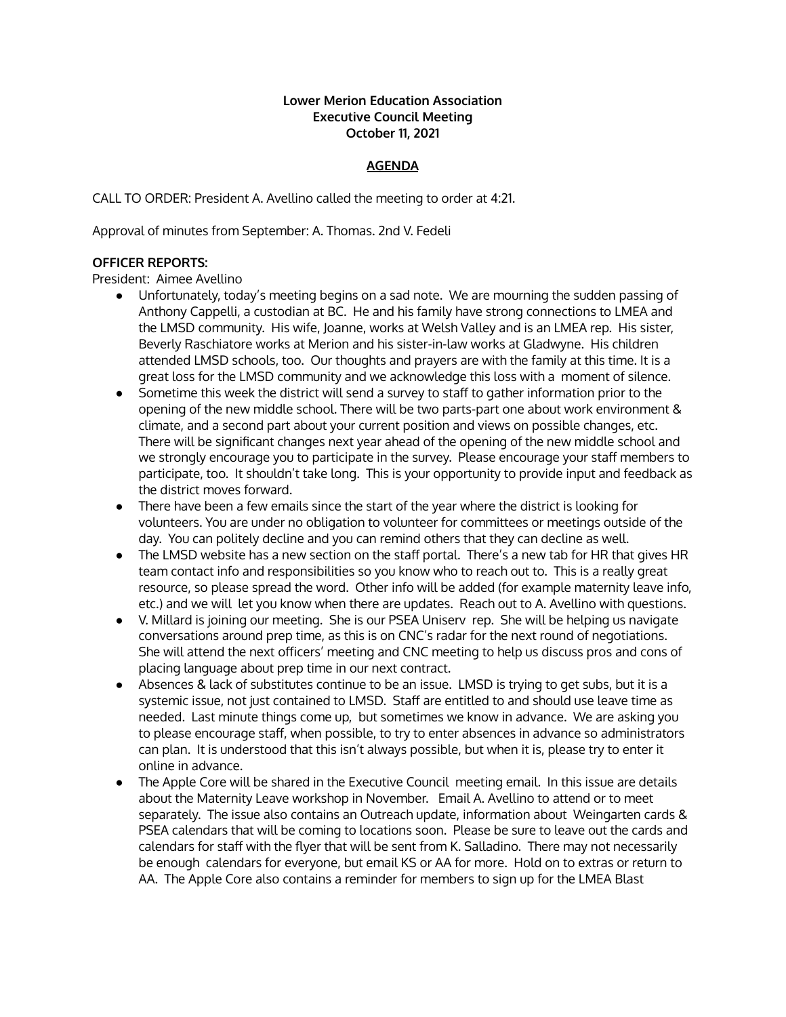#### **Lower Merion Education Association Executive Council Meeting October 11, 2021**

# **AGENDA**

CALL TO ORDER: President A. Avellino called the meeting to order at 4:21.

Approval of minutes from September: A. Thomas. 2nd V. Fedeli

## **OFFICER REPORTS:**

President: Aimee Avellino

- Unfortunately, today's meeting begins on a sad note. We are mourning the sudden passing of Anthony Cappelli, a custodian at BC. He and his family have strong connections to LMEA and the LMSD community. His wife, Joanne, works at Welsh Valley and is an LMEA rep. His sister, Beverly Raschiatore works at Merion and his sister-in-law works at Gladwyne. His children attended LMSD schools, too. Our thoughts and prayers are with the family at this time. It is a great loss for the LMSD community and we acknowledge this loss with a moment of silence.
- Sometime this week the district will send a survey to staff to gather information prior to the opening of the new middle school. There will be two parts-part one about work environment & climate, and a second part about your current position and views on possible changes, etc. There will be significant changes next year ahead of the opening of the new middle school and we strongly encourage you to participate in the survey. Please encourage your staff members to participate, too. It shouldn't take long. This is your opportunity to provide input and feedback as the district moves forward.
- There have been a few emails since the start of the year where the district is looking for volunteers. You are under no obligation to volunteer for committees or meetings outside of the day. You can politely decline and you can remind others that they can decline as well.
- The LMSD website has a new section on the staff portal. There's a new tab for HR that gives HR team contact info and responsibilities so you know who to reach out to. This is a really great resource, so please spread the word. Other info will be added (for example maternity leave info, etc.) and we will let you know when there are updates. Reach out to A. Avellino with questions.
- V. Millard is joining our meeting. She is our PSEA Uniserv rep. She will be helping us navigate conversations around prep time, as this is on CNC's radar for the next round of negotiations. She will attend the next officers' meeting and CNC meeting to help us discuss pros and cons of placing language about prep time in our next contract.
- Absences & lack of substitutes continue to be an issue. LMSD is trying to get subs, but it is a systemic issue, not just contained to LMSD. Staff are entitled to and should use leave time as needed. Last minute things come up, but sometimes we know in advance. We are asking you to please encourage staff, when possible, to try to enter absences in advance so administrators can plan. It is understood that this isn't always possible, but when it is, please try to enter it online in advance.
- The Apple Core will be shared in the Executive Council meeting email. In this issue are details about the Maternity Leave workshop in November. Email A. Avellino to attend or to meet separately. The issue also contains an Outreach update, information about Weingarten cards & PSEA calendars that will be coming to locations soon. Please be sure to leave out the cards and calendars for staff with the flyer that will be sent from K. Salladino. There may not necessarily be enough calendars for everyone, but email KS or AA for more. Hold on to extras or return to AA. The Apple Core also contains a reminder for members to sign up for the LMEA Blast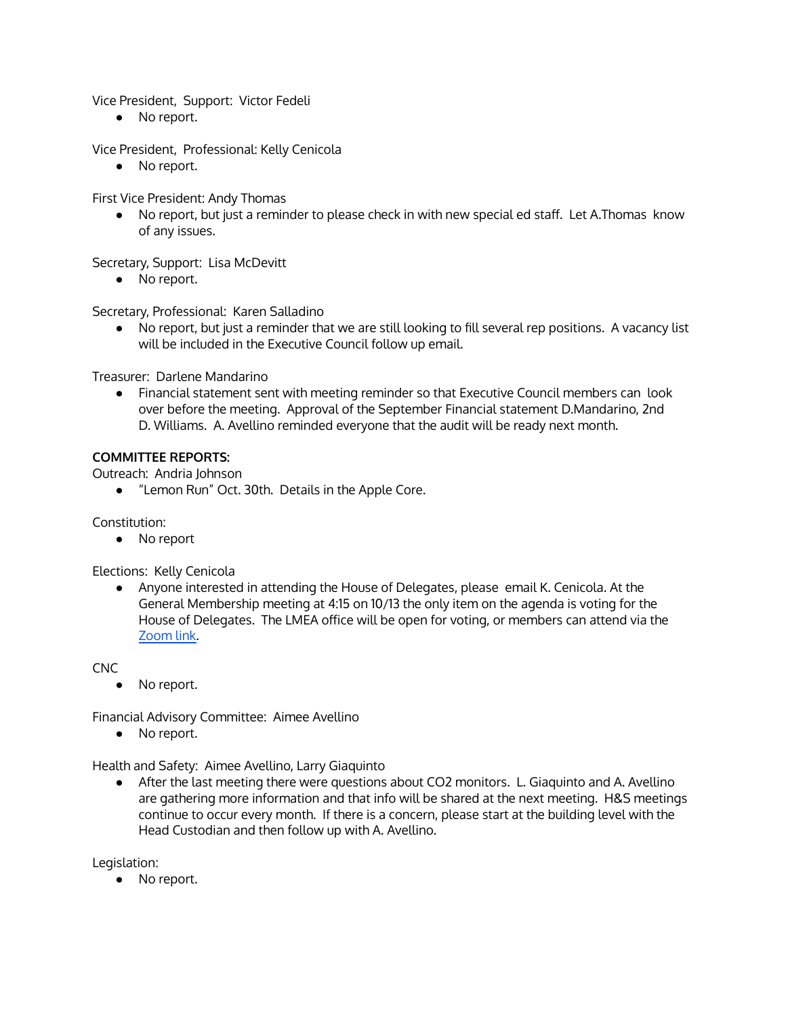Vice President, Support: Victor Fedeli

• No report.

Vice President, Professional: Kelly Cenicola

● No report.

First Vice President: Andy Thomas

● No report, but just a reminder to please check in with new special ed staff. Let A.Thomas know of any issues.

Secretary, Support: Lisa McDevitt

● No report.

Secretary, Professional: Karen Salladino

● No report, but just a reminder that we are still looking to fill several rep positions. A vacancy list will be included in the Executive Council follow up email.

Treasurer: Darlene Mandarino

● Financial statement sent with meeting reminder so that Executive Council members can look over before the meeting. Approval of the September Financial statement D.Mandarino, 2nd D. Williams. A. Avellino reminded everyone that the audit will be ready next month.

#### **COMMITTEE REPORTS:**

Outreach: Andria Johnson

● "Lemon Run" Oct. 30th. Details in the Apple Core.

Constitution:

● No report

Elections: Kelly Cenicola

● Anyone interested in attending the House of Delegates, please email K. Cenicola. At the General Membership meeting at 4:15 on 10/13 the only item on the agenda is voting for the House of Delegates. The LMEA office will be open for voting, or members can attend via the [Zoom](https://zoom.us/j/406557031?pwd=M0JReEpBYXArb1V3NzhzT2tOY1RtUT09) link.

CNC

● No report.

Financial Advisory Committee: Aimee Avellino

● No report.

Health and Safety: Aimee Avellino, Larry Giaquinto

● After the last meeting there were questions about CO2 monitors. L. Giaquinto and A. Avellino are gathering more information and that info will be shared at the next meeting. H&S meetings continue to occur every month. If there is a concern, please start at the building level with the Head Custodian and then follow up with A. Avellino.

Legislation:

● No report.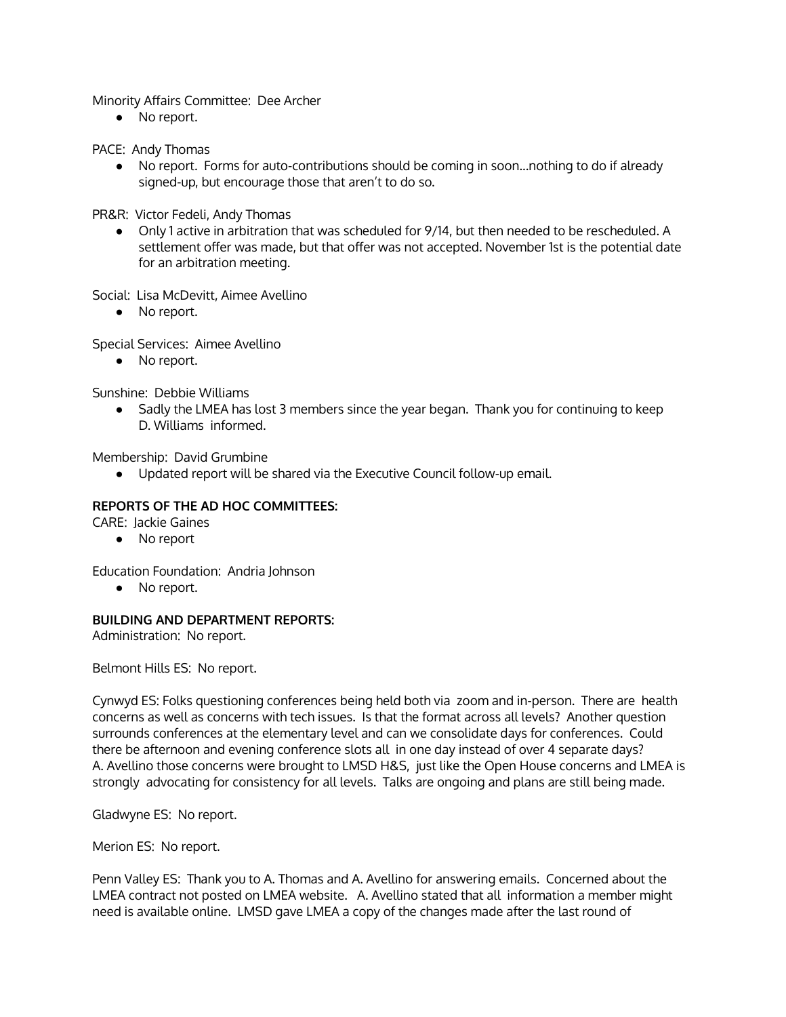Minority Affairs Committee: Dee Archer

● No report.

PACE: Andy Thomas

● No report. Forms for auto-contributions should be coming in soon...nothing to do if already signed-up, but encourage those that aren't to do so.

PR&R: Victor Fedeli, Andy Thomas

• Only 1 active in arbitration that was scheduled for 9/14, but then needed to be rescheduled. A settlement offer was made, but that offer was not accepted. November 1st is the potential date for an arbitration meeting.

Social: Lisa McDevitt, Aimee Avellino

● No report.

Special Services: Aimee Avellino

• No report.

Sunshine: Debbie Williams

● Sadly the LMEA has lost 3 members since the year began. Thank you for continuing to keep D. Williams informed.

Membership: David Grumbine

● Updated report will be shared via the Executive Council follow-up email.

### **REPORTS OF THE AD HOC COMMITTEES:**

CARE: Jackie Gaines

● No report

Education Foundation: Andria Johnson

● No report.

#### **BUILDING AND DEPARTMENT REPORTS:**

Administration: No report.

Belmont Hills ES: No report.

Cynwyd ES: Folks questioning conferences being held both via zoom and in-person. There are health concerns as well as concerns with tech issues. Is that the format across all levels? Another question surrounds conferences at the elementary level and can we consolidate days for conferences. Could there be afternoon and evening conference slots all in one day instead of over 4 separate days? A. Avellino those concerns were brought to LMSD H&S, just like the Open House concerns and LMEA is strongly advocating for consistency for all levels. Talks are ongoing and plans are still being made.

Gladwyne ES: No report.

Merion ES: No report.

Penn Valley ES: Thank you to A. Thomas and A. Avellino for answering emails. Concerned about the LMEA contract not posted on LMEA website. A. Avellino stated that all information a member might need is available online. LMSD gave LMEA a copy of the changes made after the last round of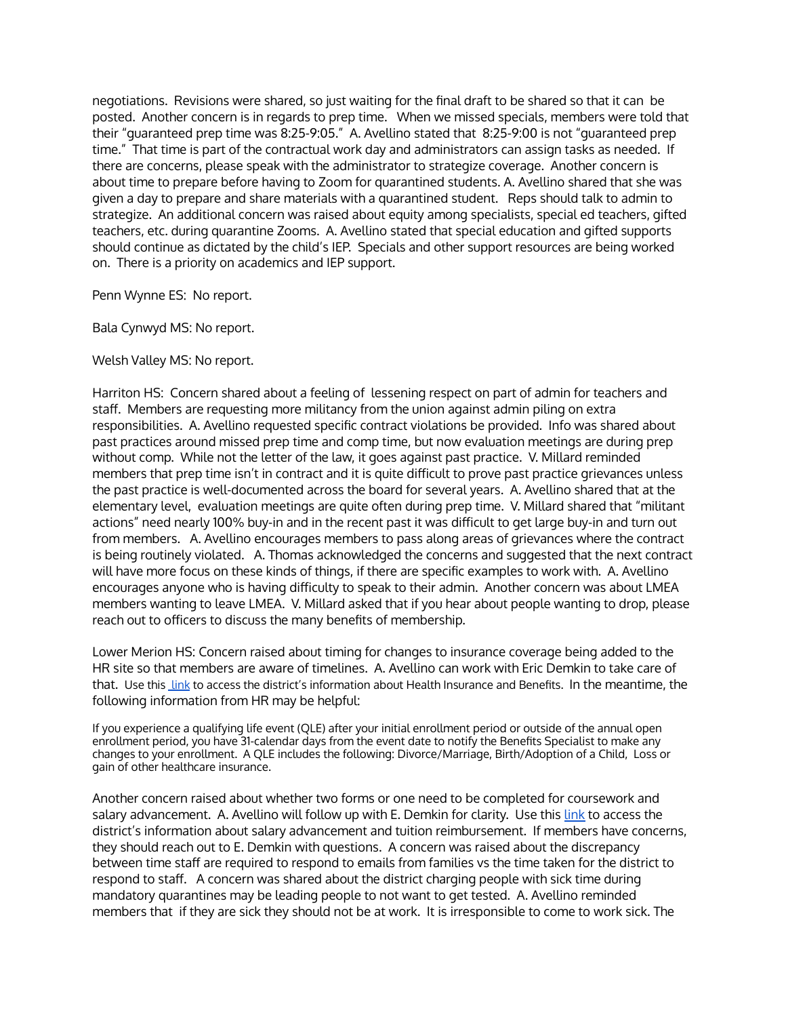negotiations. Revisions were shared, so just waiting for the final draft to be shared so that it can be posted. Another concern is in regards to prep time. When we missed specials, members were told that their "guaranteed prep time was 8:25-9:05." A. Avellino stated that 8:25-9:00 is not "guaranteed prep time." That time is part of the contractual work day and administrators can assign tasks as needed. If there are concerns, please speak with the administrator to strategize coverage. Another concern is about time to prepare before having to Zoom for quarantined students. A. Avellino shared that she was given a day to prepare and share materials with a quarantined student. Reps should talk to admin to strategize. An additional concern was raised about equity among specialists, special ed teachers, gifted teachers, etc. during quarantine Zooms. A. Avellino stated that special education and gifted supports should continue as dictated by the child's IEP. Specials and other support resources are being worked on. There is a priority on academics and IEP support.

Penn Wynne ES: No report.

Bala Cynwyd MS: No report.

Welsh Valley MS: No report.

Harriton HS: Concern shared about a feeling of lessening respect on part of admin for teachers and staff. Members are requesting more militancy from the union against admin piling on extra responsibilities. A. Avellino requested specific contract violations be provided. Info was shared about past practices around missed prep time and comp time, but now evaluation meetings are during prep without comp. While not the letter of the law, it goes against past practice. V. Millard reminded members that prep time isn't in contract and it is quite difficult to prove past practice grievances unless the past practice is well-documented across the board for several years. A. Avellino shared that at the elementary level, evaluation meetings are quite often during prep time. V. Millard shared that "militant actions" need nearly 100% buy-in and in the recent past it was difficult to get large buy-in and turn out from members. A. Avellino encourages members to pass along areas of grievances where the contract is being routinely violated. A. Thomas acknowledged the concerns and suggested that the next contract will have more focus on these kinds of things, if there are specific examples to work with. A. Avellino encourages anyone who is having difficulty to speak to their admin. Another concern was about LMEA members wanting to leave LMEA. V. Millard asked that if you hear about people wanting to drop, please reach out to officers to discuss the many benefits of membership.

Lower Merion HS: Concern raised about timing for changes to insurance coverage being added to the HR site so that members are aware of timelines. A. Avellino can work with Eric Demkin to take care of that. Use this [link](https://www.lmsd.org/staff/hr-staff/benefits) to access the district's information about Health Insurance and Benefits. In the meantime, the following information from HR may be helpful:

If you experience a qualifying life event (QLE) after your initial enrollment period or outside of the annual open enrollment period, you have 31-calendar days from the event date to notify the Benefits Specialist to make any changes to your enrollment. A QLE includes the following: Divorce/Marriage, Birth/Adoption of a Child, Loss or gain of other healthcare insurance.

Another concern raised about whether two forms or one need to be completed for coursework and salary advancement. A. Avellino will follow up with E. Demkin for clarity. Use this [link](https://www.lmsd.org/staff/hr-staff/salary-tuition) to access the district's information about salary advancement and tuition reimbursement. If members have concerns, they should reach out to E. Demkin with questions. A concern was raised about the discrepancy between time staff are required to respond to emails from families vs the time taken for the district to respond to staff. A concern was shared about the district charging people with sick time during mandatory quarantines may be leading people to not want to get tested. A. Avellino reminded members that if they are sick they should not be at work. It is irresponsible to come to work sick. The